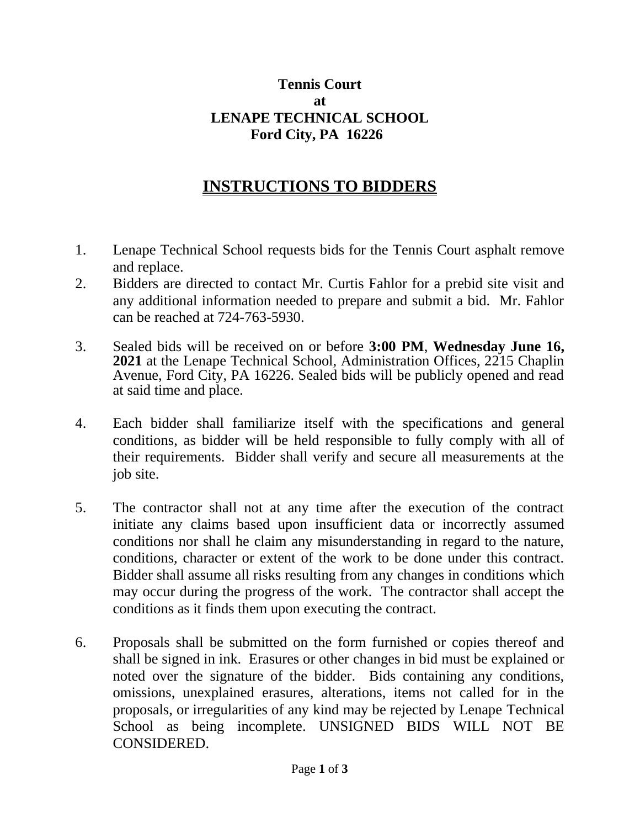## **Tennis Court at LENAPE TECHNICAL SCHOOL Ford City, PA 16226**

## **INSTRUCTIONS TO BIDDERS**

- 1. Lenape Technical School requests bids for the Tennis Court asphalt remove and replace.
- 2. Bidders are directed to contact Mr. Curtis Fahlor for a prebid site visit and any additional information needed to prepare and submit a bid. Mr. Fahlor can be reached at 724-763-5930.
- 3. Sealed bids will be received on or before **3:00 PM**, **Wednesday June 16, 2021** at the Lenape Technical School, Administration Offices, 2215 Chaplin Avenue, Ford City, PA 16226. Sealed bids will be publicly opened and read at said time and place.
- 4. Each bidder shall familiarize itself with the specifications and general conditions, as bidder will be held responsible to fully comply with all of their requirements. Bidder shall verify and secure all measurements at the job site.
- 5. The contractor shall not at any time after the execution of the contract initiate any claims based upon insufficient data or incorrectly assumed conditions nor shall he claim any misunderstanding in regard to the nature, conditions, character or extent of the work to be done under this contract. Bidder shall assume all risks resulting from any changes in conditions which may occur during the progress of the work. The contractor shall accept the conditions as it finds them upon executing the contract.
- 6. Proposals shall be submitted on the form furnished or copies thereof and shall be signed in ink. Erasures or other changes in bid must be explained or noted over the signature of the bidder. Bids containing any conditions, omissions, unexplained erasures, alterations, items not called for in the proposals, or irregularities of any kind may be rejected by Lenape Technical School as being incomplete. UNSIGNED BIDS WILL NOT BE CONSIDERED.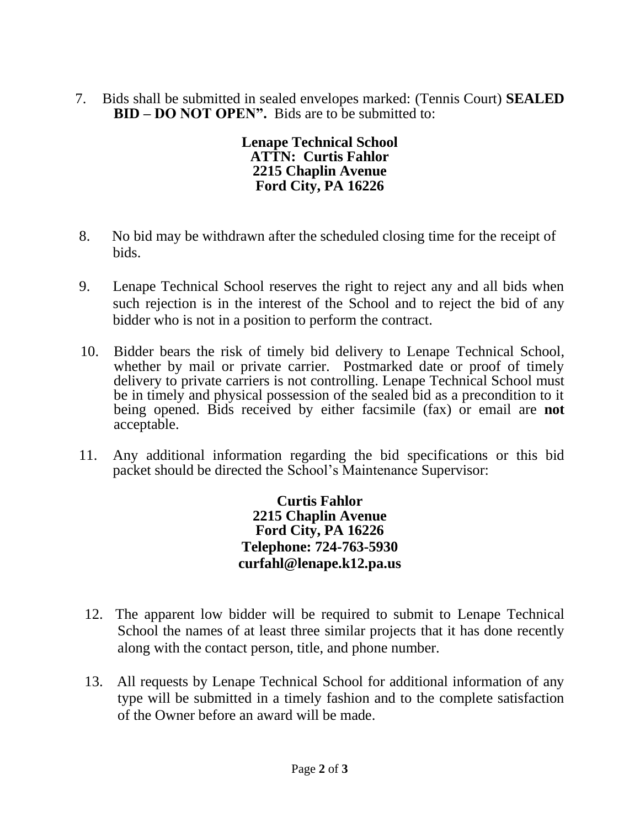7. Bids shall be submitted in sealed envelopes marked: (Tennis Court) **SEALED BID – DO NOT OPEN".** Bids are to be submitted to:

> **Lenape Technical School ATTN: Curtis Fahlor 2215 Chaplin Avenue Ford City, PA 16226**

- 8. No bid may be withdrawn after the scheduled closing time for the receipt of bids.
- 9. Lenape Technical School reserves the right to reject any and all bids when such rejection is in the interest of the School and to reject the bid of any bidder who is not in a position to perform the contract.
- 10. Bidder bears the risk of timely bid delivery to Lenape Technical School, whether by mail or private carrier. Postmarked date or proof of timely delivery to private carriers is not controlling. Lenape Technical School must be in timely and physical possession of the sealed bid as a precondition to it being opened. Bids received by either facsimile (fax) or email are **not**  acceptable.
- 11. Any additional information regarding the bid specifications or this bid packet should be directed the School's Maintenance Supervisor:

**Curtis Fahlor 2215 Chaplin Avenue Ford City, PA 16226 Telephone: 724-763-5930 curfahl@lenape.k12.pa.us**

- 12. The apparent low bidder will be required to submit to Lenape Technical School the names of at least three similar projects that it has done recently along with the contact person, title, and phone number.
- 13. All requests by Lenape Technical School for additional information of any type will be submitted in a timely fashion and to the complete satisfaction of the Owner before an award will be made.